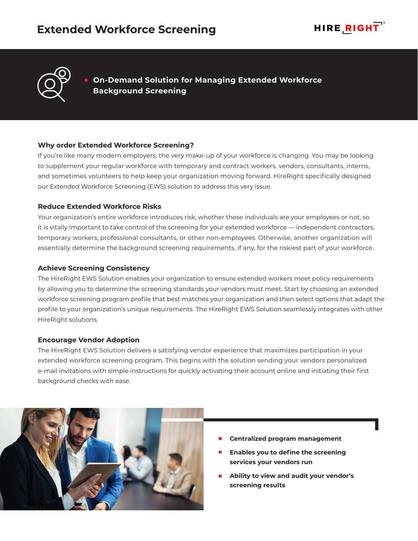



**On-Demand Solution for Managing Extended Workforce Background Screening**

### **Why order Extended Workforce Screening?**

If you're like many modern employers, the very make-up of your workforce is changing. You may be looking to supplement your regular workforce with temporary and contract workers, vendors, consultants, interns, and sometimes volunteers to help keep your organization moving forward. HireRight specifically designed our Extended Workforce Screening (EWS) solution to address this very issue.

### **Reduce Extended Workforce Risks**

Your organization's entire workforce introduces risk, whether these individuals are your employees or not, so it is vitally important to take control of the screening for your extended workforce — independent contractors, temporary workers, professional consultants, or other non-employees. Otherwise, another organization will essentially determine the background screening requirements, if any, for the riskiest part of your workforce.

## **Achieve Screening Consistency**

The HireRight EWS Solution enables your organization to ensure extended workers meet policy requirements by allowing you to determine the screening standards your vendors must meet. Start by choosing an extended workforce screening program profile that best matches your organization and then select options that adapt the profile to your organization's unique requirements. The HireRight EWS Solution seamlessly integrates with other HireRight solutions.

### **Encourage Vendor Adoption**

The HireRight EWS Solution delivers a satisfying vendor experience that maximizes participation in your extended workforce screening program. This begins with the solution sending your vendors personalized e-mail invitations with simple instructions for quickly activating their account online and initiating their first background checks with ease.



- **Centralized program management**
- **Enables you to define the screening services your vendors run**
- **Ability to view and audit your vendor's screening results**